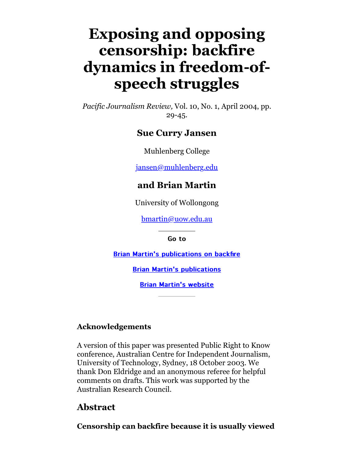# **Exposing and opposing censorship: backfire dynamics in freedom-ofspeech struggles**

*Pacific Journalism Review,* Vol. 10, No. 1, April 2004, pp. 29-45.

#### **Sue Curry Jansen**

Muhlenberg College

[jansen@muhlenberg.edu](mailto:jansen@muhlenberg.edu)

#### **and Brian Martin**

University of Wollongong

[bmartin@uow.edu.au](mailto:bmartin@uow.edu.au)

Go to

**[Brian Martin's publications on backfire](http://www.bmartin.cc/pubs/backfire.html)** 

**[Brian Martin's publications](http://www.bmartin.cc/pubs/)** 

**[Brian Martin's website](http://www.bmartin.cc/)** 

#### **Acknowledgements**

A version of this paper was presented Public Right to Know conference, Australian Centre for Independent Journalism, University of Technology, Sydney, 18 October 2003. We thank Don Eldridge and an anonymous referee for helpful comments on drafts. This work was supported by the Australian Research Council.

### **Abstract**

**Censorship can backfire because it is usually viewed**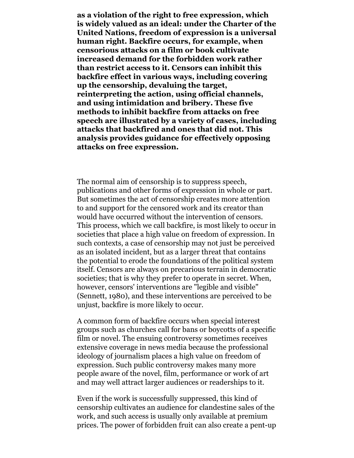**as a violation of the right to free expression, which is widely valued as an ideal: under the Charter of the United Nations, freedom of expression is a universal human right. Backfire occurs, for example, when censorious attacks on a film or book cultivate increased demand for the forbidden work rather than restrict access to it. Censors can inhibit this backfire effect in various ways, including covering up the censorship, devaluing the target, reinterpreting the action, using official channels, and using intimidation and bribery. These five methods to inhibit backfire from attacks on free speech are illustrated by a variety of cases, including attacks that backfired and ones that did not. This analysis provides guidance for effectively opposing attacks on free expression.**

The normal aim of censorship is to suppress speech, publications and other forms of expression in whole or part. But sometimes the act of censorship creates more attention to and support for the censored work and its creator than would have occurred without the intervention of censors. This process, which we call backfire, is most likely to occur in societies that place a high value on freedom of expression. In such contexts, a case of censorship may not just be perceived as an isolated incident, but as a larger threat that contains the potential to erode the foundations of the political system itself. Censors are always on precarious terrain in democratic societies; that is why they prefer to operate in secret. When, however, censors' interventions are "legible and visible" (Sennett, 1980), and these interventions are perceived to be unjust, backfire is more likely to occur.

A common form of backfire occurs when special interest groups such as churches call for bans or boycotts of a specific film or novel. The ensuing controversy sometimes receives extensive coverage in news media because the professional ideology of journalism places a high value on freedom of expression. Such public controversy makes many more people aware of the novel, film, performance or work of art and may well attract larger audiences or readerships to it.

Even if the work is successfully suppressed, this kind of censorship cultivates an audience for clandestine sales of the work, and such access is usually only available at premium prices. The power of forbidden fruit can also create a pent-up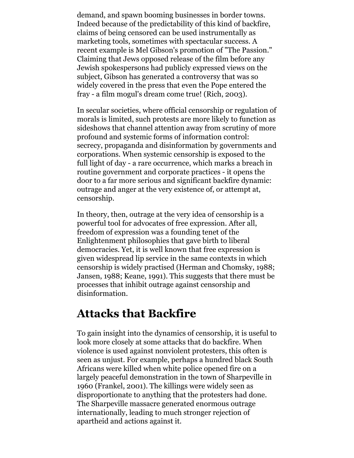demand, and spawn booming businesses in border towns. Indeed because of the predictability of this kind of backfire, claims of being censored can be used instrumentally as marketing tools, sometimes with spectacular success. A recent example is Mel Gibson's promotion of "The Passion." Claiming that Jews opposed release of the film before any Jewish spokespersons had publicly expressed views on the subject, Gibson has generated a controversy that was so widely covered in the press that even the Pope entered the fray - a film mogul's dream come true! (Rich, 2003).

In secular societies, where official censorship or regulation of morals is limited, such protests are more likely to function as sideshows that channel attention away from scrutiny of more profound and systemic forms of information control: secrecy, propaganda and disinformation by governments and corporations. When systemic censorship is exposed to the full light of day - a rare occurrence, which marks a breach in routine government and corporate practices - it opens the door to a far more serious and significant backfire dynamic: outrage and anger at the very existence of, or attempt at, censorship.

In theory, then, outrage at the very idea of censorship is a powerful tool for advocates of free expression. After all, freedom of expression was a founding tenet of the Enlightenment philosophies that gave birth to liberal democracies. Yet, it is well known that free expression is given widespread lip service in the same contexts in which censorship is widely practised (Herman and Chomsky, 1988; Jansen, 1988; Keane, 1991). This suggests that there must be processes that inhibit outrage against censorship and disinformation.

### **Attacks that Backfire**

To gain insight into the dynamics of censorship, it is useful to look more closely at some attacks that do backfire. When violence is used against nonviolent protesters, this often is seen as unjust. For example, perhaps a hundred black South Africans were killed when white police opened fire on a largely peaceful demonstration in the town of Sharpeville in 1960 (Frankel, 2001). The killings were widely seen as disproportionate to anything that the protesters had done. The Sharpeville massacre generated enormous outrage internationally, leading to much stronger rejection of apartheid and actions against it.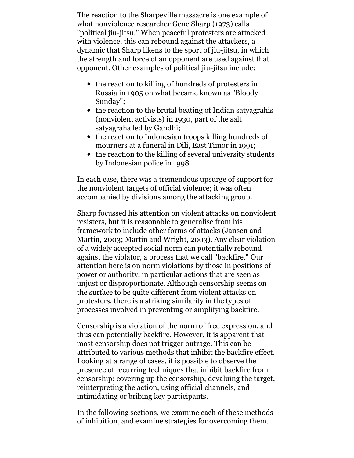The reaction to the Sharpeville massacre is one example of what nonviolence researcher Gene Sharp (1973) calls "political jiu-jitsu." When peaceful protesters are attacked with violence, this can rebound against the attackers, a dynamic that Sharp likens to the sport of jiu-jitsu, in which the strength and force of an opponent are used against that opponent. Other examples of political jiu-jitsu include:

- the reaction to killing of hundreds of protesters in Russia in 1905 on what became known as "Bloody Sunday";
- the reaction to the brutal beating of Indian satyagrahis (nonviolent activists) in 1930, part of the salt satyagraha led by Gandhi;
- the reaction to Indonesian troops killing hundreds of mourners at a funeral in Dili, East Timor in 1991;
- the reaction to the killing of several university students by Indonesian police in 1998.

In each case, there was a tremendous upsurge of support for the nonviolent targets of official violence; it was often accompanied by divisions among the attacking group.

Sharp focussed his attention on violent attacks on nonviolent resisters, but it is reasonable to generalise from his framework to include other forms of attacks (Jansen and Martin, 2003; Martin and Wright, 2003). Any clear violation of a widely accepted social norm can potentially rebound against the violator, a process that we call "backfire." Our attention here is on norm violations by those in positions of power or authority, in particular actions that are seen as unjust or disproportionate. Although censorship seems on the surface to be quite different from violent attacks on protesters, there is a striking similarity in the types of processes involved in preventing or amplifying backfire.

Censorship is a violation of the norm of free expression, and thus can potentially backfire. However, it is apparent that most censorship does not trigger outrage. This can be attributed to various methods that inhibit the backfire effect. Looking at a range of cases, it is possible to observe the presence of recurring techniques that inhibit backfire from censorship: covering up the censorship, devaluing the target, reinterpreting the action, using official channels, and intimidating or bribing key participants.

In the following sections, we examine each of these methods of inhibition, and examine strategies for overcoming them.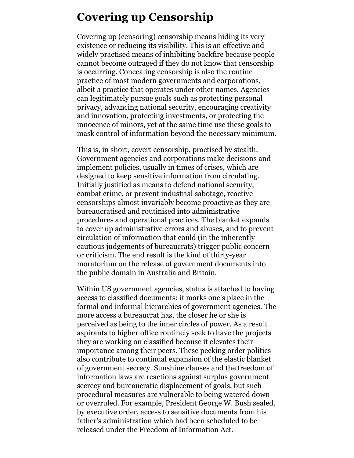### **Covering up Censorship**

Covering up (censoring) censorship means hiding its very existence or reducing its visibility. This is an effective and widely practised means of inhibiting backfire because people cannot become outraged if they do not know that censorship is occurring. Concealing censorship is also the routine practice of most modern governments and corporations, albeit a practice that operates under other names. Agencies can legitimately pursue goals such as protecting personal privacy, advancing national security, encouraging creativity and innovation, protecting investments, or protecting the innocence of minors, yet at the same time use these goals to mask control of information beyond the necessary minimum.

This is, in short, covert censorship, practised by stealth. Government agencies and corporations make decisions and implement policies, usually in times of crises, which are designed to keep sensitive information from circulating. Initially justified as means to defend national security, combat crime, or prevent industrial sabotage, reactive censorships almost invariably become proactive as they are bureaucratised and routinised into administrative procedures and operational practices. The blanket expands to cover up administrative errors and abuses, and to prevent circulation of information that could (in the inherently cautious judgements of bureaucrats) trigger public concern or criticism. The end result is the kind of thirty-year moratorium on the release of government documents into the public domain in Australia and Britain.

Within US government agencies, status is attached to having access to classified documents; it marks one's place in the formal and informal hierarchies of government agencies. The more access a bureaucrat has, the closer he or she is perceived as being to the inner circles of power. As a result aspirants to higher office routinely seek to have the projects they are working on classified because it elevates their importance among their peers. These pecking order politics also contribute to continual expansion of the elastic blanket of government secrecy. Sunshine clauses and the freedom of information laws are reactions against surplus government secrecy and bureaucratic displacement of goals, but such procedural measures are vulnerable to being watered down or overruled. For example, President George W. Bush sealed, by executive order, access to sensitive documents from his father's administration which had been scheduled to be released under the Freedom of Information Act.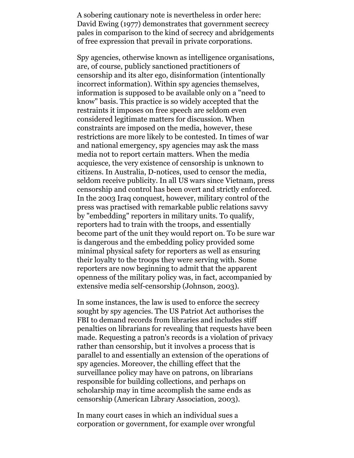A sobering cautionary note is nevertheless in order here: David Ewing (1977) demonstrates that government secrecy pales in comparison to the kind of secrecy and abridgements of free expression that prevail in private corporations.

Spy agencies, otherwise known as intelligence organisations, are, of course, publicly sanctioned practitioners of censorship and its alter ego, disinformation (intentionally incorrect information). Within spy agencies themselves, information is supposed to be available only on a "need to know" basis. This practice is so widely accepted that the restraints it imposes on free speech are seldom even considered legitimate matters for discussion. When constraints are imposed on the media, however, these restrictions are more likely to be contested. In times of war and national emergency, spy agencies may ask the mass media not to report certain matters. When the media acquiesce, the very existence of censorship is unknown to citizens. In Australia, D-notices, used to censor the media, seldom receive publicity. In all US wars since Vietnam, press censorship and control has been overt and strictly enforced. In the 2003 Iraq conquest, however, military control of the press was practised with remarkable public relations savvy by "embedding" reporters in military units. To qualify, reporters had to train with the troops, and essentially become part of the unit they would report on. To be sure war is dangerous and the embedding policy provided some minimal physical safety for reporters as well as ensuring their loyalty to the troops they were serving with. Some reporters are now beginning to admit that the apparent openness of the military policy was, in fact, accompanied by extensive media self-censorship (Johnson, 2003).

In some instances, the law is used to enforce the secrecy sought by spy agencies. The US Patriot Act authorises the FBI to demand records from libraries and includes stiff penalties on librarians for revealing that requests have been made. Requesting a patron's records is a violation of privacy rather than censorship, but it involves a process that is parallel to and essentially an extension of the operations of spy agencies. Moreover, the chilling effect that the surveillance policy may have on patrons, on librarians responsible for building collections, and perhaps on scholarship may in time accomplish the same ends as censorship (American Library Association, 2003).

In many court cases in which an individual sues a corporation or government, for example over wrongful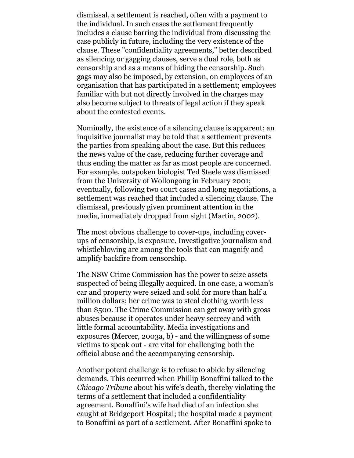dismissal, a settlement is reached, often with a payment to the individual. In such cases the settlement frequently includes a clause barring the individual from discussing the case publicly in future, including the very existence of the clause. These "confidentiality agreements," better described as silencing or gagging clauses, serve a dual role, both as censorship and as a means of hiding the censorship. Such gags may also be imposed, by extension, on employees of an organisation that has participated in a settlement; employees familiar with but not directly involved in the charges may also become subject to threats of legal action if they speak about the contested events.

Nominally, the existence of a silencing clause is apparent; an inquisitive journalist may be told that a settlement prevents the parties from speaking about the case. But this reduces the news value of the case, reducing further coverage and thus ending the matter as far as most people are concerned. For example, outspoken biologist Ted Steele was dismissed from the University of Wollongong in February 2001; eventually, following two court cases and long negotiations, a settlement was reached that included a silencing clause. The dismissal, previously given prominent attention in the media, immediately dropped from sight (Martin, 2002).

The most obvious challenge to cover-ups, including coverups of censorship, is exposure. Investigative journalism and whistleblowing are among the tools that can magnify and amplify backfire from censorship.

The NSW Crime Commission has the power to seize assets suspected of being illegally acquired. In one case, a woman's car and property were seized and sold for more than half a million dollars; her crime was to steal clothing worth less than \$500. The Crime Commission can get away with gross abuses because it operates under heavy secrecy and with little formal accountability. Media investigations and exposures (Mercer, 2003a, b) - and the willingness of some victims to speak out - are vital for challenging both the official abuse and the accompanying censorship.

Another potent challenge is to refuse to abide by silencing demands. This occurred when Phillip Bonaffini talked to the *Chicago Tribune* about his wife's death, thereby violating the terms of a settlement that included a confidentiality agreement. Bonaffini's wife had died of an infection she caught at Bridgeport Hospital; the hospital made a payment to Bonaffini as part of a settlement. After Bonaffini spoke to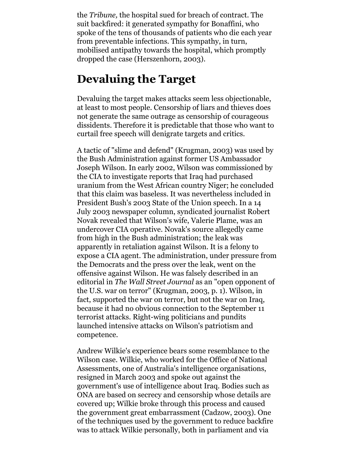the *Tribune,* the hospital sued for breach of contract. The suit backfired: it generated sympathy for Bonaffini, who spoke of the tens of thousands of patients who die each year from preventable infections. This sympathy, in turn, mobilised antipathy towards the hospital, which promptly dropped the case (Herszenhorn, 2003).

### **Devaluing the Target**

Devaluing the target makes attacks seem less objectionable, at least to most people. Censorship of liars and thieves does not generate the same outrage as censorship of courageous dissidents. Therefore it is predictable that those who want to curtail free speech will denigrate targets and critics.

A tactic of "slime and defend" (Krugman, 2003) was used by the Bush Administration against former US Ambassador Joseph Wilson. In early 2002, Wilson was commissioned by the CIA to investigate reports that Iraq had purchased uranium from the West African country Niger; he concluded that this claim was baseless. It was nevertheless included in President Bush's 2003 State of the Union speech. In a 14 July 2003 newspaper column, syndicated journalist Robert Novak revealed that Wilson's wife, Valerie Plame, was an undercover CIA operative. Novak's source allegedly came from high in the Bush administration; the leak was apparently in retaliation against Wilson. It is a felony to expose a CIA agent. The administration, under pressure from the Democrats and the press over the leak, went on the offensive against Wilson. He was falsely described in an editorial in *The Wall Street Journal* as an "open opponent of the U.S. war on terror" (Krugman, 2003, p. 1). Wilson, in fact, supported the war on terror, but not the war on Iraq, because it had no obvious connection to the September 11 terrorist attacks. Right-wing politicians and pundits launched intensive attacks on Wilson's patriotism and competence.

Andrew Wilkie's experience bears some resemblance to the Wilson case. Wilkie, who worked for the Office of National Assessments, one of Australia's intelligence organisations, resigned in March 2003 and spoke out against the government's use of intelligence about Iraq. Bodies such as ONA are based on secrecy and censorship whose details are covered up; Wilkie broke through this process and caused the government great embarrassment (Cadzow, 2003). One of the techniques used by the government to reduce backfire was to attack Wilkie personally, both in parliament and via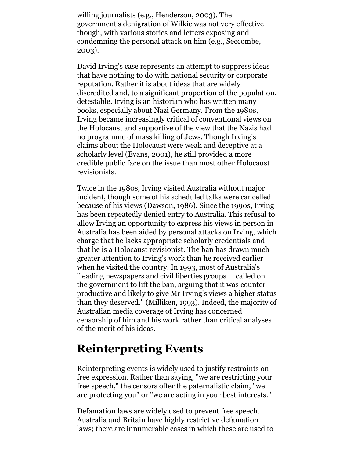willing journalists (e.g., Henderson, 2003). The government's denigration of Wilkie was not very effective though, with various stories and letters exposing and condemning the personal attack on him (e.g., Seccombe, 2003).

David Irving's case represents an attempt to suppress ideas that have nothing to do with national security or corporate reputation. Rather it is about ideas that are widely discredited and, to a significant proportion of the population, detestable. Irving is an historian who has written many books, especially about Nazi Germany. From the 1980s, Irving became increasingly critical of conventional views on the Holocaust and supportive of the view that the Nazis had no programme of mass killing of Jews. Though Irving's claims about the Holocaust were weak and deceptive at a scholarly level (Evans, 2001), he still provided a more credible public face on the issue than most other Holocaust revisionists.

Twice in the 1980s, Irving visited Australia without major incident, though some of his scheduled talks were cancelled because of his views (Dawson, 1986). Since the 1990s, Irving has been repeatedly denied entry to Australia. This refusal to allow Irving an opportunity to express his views in person in Australia has been aided by personal attacks on Irving, which charge that he lacks appropriate scholarly credentials and that he is a Holocaust revisionist. The ban has drawn much greater attention to Irving's work than he received earlier when he visited the country. In 1993, most of Australia's "leading newspapers and civil liberties groups ... called on the government to lift the ban, arguing that it was counterproductive and likely to give Mr Irving's views a higher status than they deserved." (Milliken, 1993). Indeed, the majority of Australian media coverage of Irving has concerned censorship of him and his work rather than critical analyses of the merit of his ideas.

# **Reinterpreting Events**

Reinterpreting events is widely used to justify restraints on free expression. Rather than saying, "we are restricting your free speech," the censors offer the paternalistic claim, "we are protecting you" or "we are acting in your best interests."

Defamation laws are widely used to prevent free speech. Australia and Britain have highly restrictive defamation laws; there are innumerable cases in which these are used to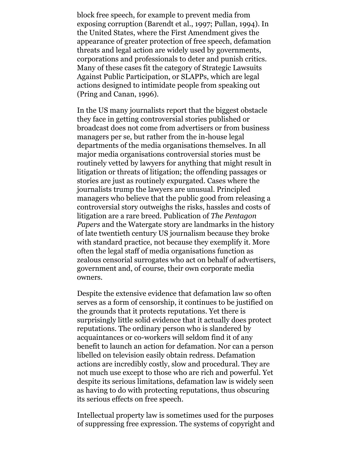block free speech, for example to prevent media from exposing corruption (Barendt et al., 1997; Pullan, 1994). In the United States, where the First Amendment gives the appearance of greater protection of free speech, defamation threats and legal action are widely used by governments, corporations and professionals to deter and punish critics. Many of these cases fit the category of Strategic Lawsuits Against Public Participation, or SLAPPs, which are legal actions designed to intimidate people from speaking out (Pring and Canan, 1996).

In the US many journalists report that the biggest obstacle they face in getting controversial stories published or broadcast does not come from advertisers or from business managers per se, but rather from the in-house legal departments of the media organisations themselves. In all major media organisations controversial stories must be routinely vetted by lawyers for anything that might result in litigation or threats of litigation; the offending passages or stories are just as routinely expurgated. Cases where the journalists trump the lawyers are unusual. Principled managers who believe that the public good from releasing a controversial story outweighs the risks, hassles and costs of litigation are a rare breed. Publication of *The Pentagon Papers* and the Watergate story are landmarks in the history of late twentieth century US journalism because they broke with standard practice, not because they exemplify it. More often the legal staff of media organisations function as zealous censorial surrogates who act on behalf of advertisers, government and, of course, their own corporate media owners.

Despite the extensive evidence that defamation law so often serves as a form of censorship, it continues to be justified on the grounds that it protects reputations. Yet there is surprisingly little solid evidence that it actually does protect reputations. The ordinary person who is slandered by acquaintances or co-workers will seldom find it of any benefit to launch an action for defamation. Nor can a person libelled on television easily obtain redress. Defamation actions are incredibly costly, slow and procedural. They are not much use except to those who are rich and powerful. Yet despite its serious limitations, defamation law is widely seen as having to do with protecting reputations, thus obscuring its serious effects on free speech.

Intellectual property law is sometimes used for the purposes of suppressing free expression. The systems of copyright and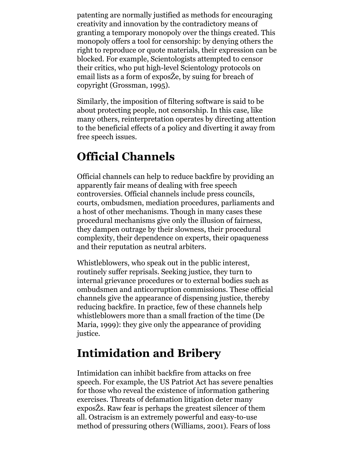patenting are normally justified as methods for encouraging creativity and innovation by the contradictory means of granting a temporary monopoly over the things created. This monopoly offers a tool for censorship: by denying others the right to reproduce or quote materials, their expression can be blocked. For example, Scientologists attempted to censor their critics, who put high-level Scientology protocols on email lists as a form of exposŽe, by suing for breach of copyright (Grossman, 1995).

Similarly, the imposition of filtering software is said to be about protecting people, not censorship. In this case, like many others, reinterpretation operates by directing attention to the beneficial effects of a policy and diverting it away from free speech issues.

# **Official Channels**

Official channels can help to reduce backfire by providing an apparently fair means of dealing with free speech controversies. Official channels include press councils, courts, ombudsmen, mediation procedures, parliaments and a host of other mechanisms. Though in many cases these procedural mechanisms give only the illusion of fairness, they dampen outrage by their slowness, their procedural complexity, their dependence on experts, their opaqueness and their reputation as neutral arbiters.

Whistleblowers, who speak out in the public interest, routinely suffer reprisals. Seeking justice, they turn to internal grievance procedures or to external bodies such as ombudsmen and anticorruption commissions. These official channels give the appearance of dispensing justice, thereby reducing backfire. In practice, few of these channels help whistleblowers more than a small fraction of the time (De Maria, 1999): they give only the appearance of providing justice.

# **Intimidation and Bribery**

Intimidation can inhibit backfire from attacks on free speech. For example, the US Patriot Act has severe penalties for those who reveal the existence of information gathering exercises. Threats of defamation litigation deter many exposŽs. Raw fear is perhaps the greatest silencer of them all. Ostracism is an extremely powerful and easy-to-use method of pressuring others (Williams, 2001). Fears of loss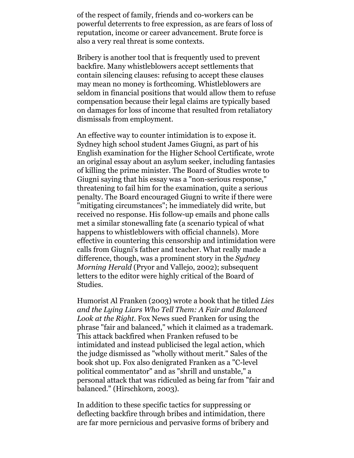of the respect of family, friends and co-workers can be powerful deterrents to free expression, as are fears of loss of reputation, income or career advancement. Brute force is also a very real threat is some contexts.

Bribery is another tool that is frequently used to prevent backfire. Many whistleblowers accept settlements that contain silencing clauses: refusing to accept these clauses may mean no money is forthcoming. Whistleblowers are seldom in financial positions that would allow them to refuse compensation because their legal claims are typically based on damages for loss of income that resulted from retaliatory dismissals from employment.

An effective way to counter intimidation is to expose it. Sydney high school student James Giugni, as part of his English examination for the Higher School Certificate, wrote an original essay about an asylum seeker, including fantasies of killing the prime minister. The Board of Studies wrote to Giugni saying that his essay was a "non-serious response," threatening to fail him for the examination, quite a serious penalty. The Board encouraged Giugni to write if there were "mitigating circumstances"; he immediately did write, but received no response. His follow-up emails and phone calls met a similar stonewalling fate (a scenario typical of what happens to whistleblowers with official channels). More effective in countering this censorship and intimidation were calls from Giugni's father and teacher. What really made a difference, though, was a prominent story in the *Sydney Morning Herald* (Pryor and Vallejo, 2002); subsequent letters to the editor were highly critical of the Board of Studies.

Humorist Al Franken (2003) wrote a book that he titled *Lies and the Lying Liars Who Tell Them: A Fair and Balanced Look at the Right.* Fox News sued Franken for using the phrase "fair and balanced," which it claimed as a trademark. This attack backfired when Franken refused to be intimidated and instead publicised the legal action, which the judge dismissed as "wholly without merit." Sales of the book shot up. Fox also denigrated Franken as a "C-level political commentator" and as "shrill and unstable," a personal attack that was ridiculed as being far from "fair and balanced." (Hirschkorn, 2003).

In addition to these specific tactics for suppressing or deflecting backfire through bribes and intimidation, there are far more pernicious and pervasive forms of bribery and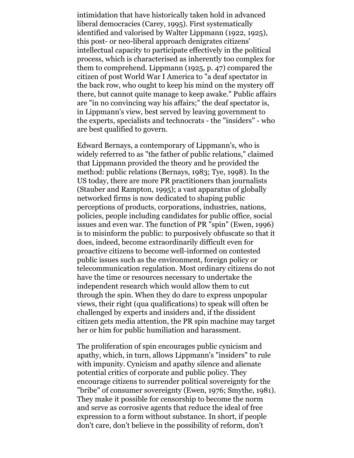intimidation that have historically taken hold in advanced liberal democracies (Carey, 1995). First systematically identified and valorised by Walter Lippmann (1922, 1925), this post- or neo-liberal approach denigrates citizens' intellectual capacity to participate effectively in the political process, which is characterised as inherently too complex for them to comprehend. Lippmann (1925, p. 47) compared the citizen of post World War I America to "a deaf spectator in the back row, who ought to keep his mind on the mystery off there, but cannot quite manage to keep awake." Public affairs are "in no convincing way his affairs;" the deaf spectator is, in Lippmann's view, best served by leaving government to the experts, specialists and technocrats - the "insiders" - who are best qualified to govern.

Edward Bernays, a contemporary of Lippmann's, who is widely referred to as "the father of public relations," claimed that Lippmann provided the theory and he provided the method: public relations (Bernays, 1983; Tye, 1998). In the US today, there are more PR practitioners than journalists (Stauber and Rampton, 1995); a vast apparatus of globally networked firms is now dedicated to shaping public perceptions of products, corporations, industries, nations, policies, people including candidates for public office, social issues and even war. The function of PR "spin" (Ewen, 1996) is to misinform the public: to purposively obfuscate so that it does, indeed, become extraordinarily difficult even for proactive citizens to become well-informed on contested public issues such as the environment, foreign policy or telecommunication regulation. Most ordinary citizens do not have the time or resources necessary to undertake the independent research which would allow them to cut through the spin. When they do dare to express unpopular views, their right (qua qualifications) to speak will often be challenged by experts and insiders and, if the dissident citizen gets media attention, the PR spin machine may target her or him for public humiliation and harassment.

The proliferation of spin encourages public cynicism and apathy, which, in turn, allows Lippmann's "insiders" to rule with impunity. Cynicism and apathy silence and alienate potential critics of corporate and public policy. They encourage citizens to surrender political sovereignty for the "bribe" of consumer sovereignty (Ewen, 1976; Smythe, 1981). They make it possible for censorship to become the norm and serve as corrosive agents that reduce the ideal of free expression to a form without substance. In short, if people don't care, don't believe in the possibility of reform, don't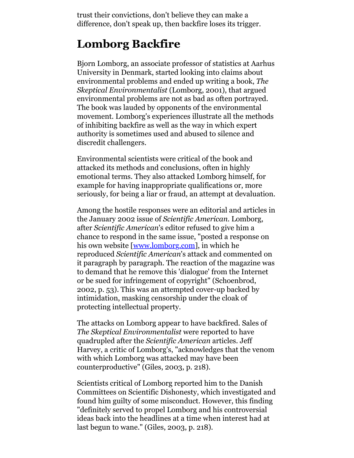trust their convictions, don't believe they can make a difference, don't speak up, then backfire loses its trigger.

### **Lomborg Backfire**

Bjorn Lomborg, an associate professor of statistics at Aarhus University in Denmark, started looking into claims about environmental problems and ended up writing a book, *The Skeptical Environmentalist* (Lomborg, 2001), that argued environmental problems are not as bad as often portrayed. The book was lauded by opponents of the environmental movement. Lomborg's experiences illustrate all the methods of inhibiting backfire as well as the way in which expert authority is sometimes used and abused to silence and discredit challengers.

Environmental scientists were critical of the book and attacked its methods and conclusions, often in highly emotional terms. They also attacked Lomborg himself, for example for having inappropriate qualifications or, more seriously, for being a liar or fraud, an attempt at devaluation.

Among the hostile responses were an editorial and articles in the January 2002 issue of *Scientific American.* Lomborg, after *Scientific American*'s editor refused to give him a chance to respond in the same issue, "posted a response on his own website [\[www.lomborg.com\]](http://www.lomborg.com/), in which he reproduced *Scientific American*'s attack and commented on it paragraph by paragraph. The reaction of the magazine was to demand that he remove this 'dialogue' from the Internet or be sued for infringement of copyright" (Schoenbrod, 2002, p. 53). This was an attempted cover-up backed by intimidation, masking censorship under the cloak of protecting intellectual property.

The attacks on Lomborg appear to have backfired. Sales of *The Skeptical Environmentalist* were reported to have quadrupled after the *Scientific American* articles. Jeff Harvey, a critic of Lomborg's, "acknowledges that the venom with which Lomborg was attacked may have been counterproductive" (Giles, 2003, p. 218).

Scientists critical of Lomborg reported him to the Danish Committees on Scientific Dishonesty, which investigated and found him guilty of some misconduct. However, this finding "definitely served to propel Lomborg and his controversial ideas back into the headlines at a time when interest had at last begun to wane." (Giles, 2003, p. 218).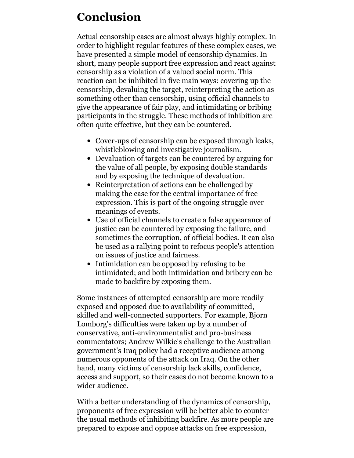# **Conclusion**

Actual censorship cases are almost always highly complex. In order to highlight regular features of these complex cases, we have presented a simple model of censorship dynamics. In short, many people support free expression and react against censorship as a violation of a valued social norm. This reaction can be inhibited in five main ways: covering up the censorship, devaluing the target, reinterpreting the action as something other than censorship, using official channels to give the appearance of fair play, and intimidating or bribing participants in the struggle. These methods of inhibition are often quite effective, but they can be countered.

- Cover-ups of censorship can be exposed through leaks, whistleblowing and investigative journalism.
- Devaluation of targets can be countered by arguing for the value of all people, by exposing double standards and by exposing the technique of devaluation.
- Reinterpretation of actions can be challenged by making the case for the central importance of free expression. This is part of the ongoing struggle over meanings of events.
- Use of official channels to create a false appearance of justice can be countered by exposing the failure, and sometimes the corruption, of official bodies. It can also be used as a rallying point to refocus people's attention on issues of justice and fairness.
- Intimidation can be opposed by refusing to be intimidated; and both intimidation and bribery can be made to backfire by exposing them.

Some instances of attempted censorship are more readily exposed and opposed due to availability of committed, skilled and well-connected supporters. For example, Bjorn Lomborg's difficulties were taken up by a number of conservative, anti-environmentalist and pro-business commentators; Andrew Wilkie's challenge to the Australian government's Iraq policy had a receptive audience among numerous opponents of the attack on Iraq. On the other hand, many victims of censorship lack skills, confidence, access and support, so their cases do not become known to a wider audience.

With a better understanding of the dynamics of censorship, proponents of free expression will be better able to counter the usual methods of inhibiting backfire. As more people are prepared to expose and oppose attacks on free expression,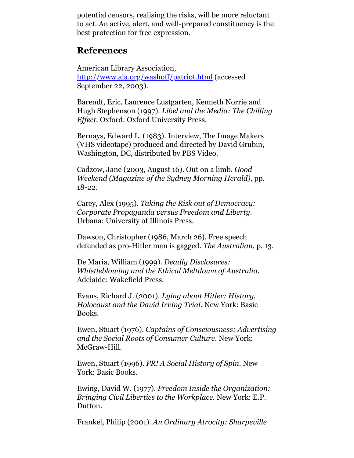potential censors, realising the risks, will be more reluctant to act. An active, alert, and well-prepared constituency is the best protection for free expression.

#### **References**

American Library Association, [http://www.ala.org/washoff/patriot.html](http://www.a;a.org/washoff/patriot.html) (accessed September 22, 2003).

Barendt, Eric, Laurence Lustgarten, Kenneth Norrie and Hugh Stephenson (1997). *Libel and the Media: The Chilling Effect.* Oxford: Oxford University Press.

Bernays, Edward L. (1983). Interview, The Image Makers (VHS videotape) produced and directed by David Grubin, Washington, DC, distributed by PBS Video.

Cadzow, Jane (2003, August 16). Out on a limb. *Good Weekend (Magazine of the Sydney Morning Herald),* pp. 18-22.

Carey, Alex (1995). *Taking the Risk out of Democracy: Corporate Propaganda versus Freedom and Liberty*. Urbana: University of Illinois Press.

Dawson, Christopher (1986, March 26). Free speech defended as pro-Hitler man is gagged. *The Australian,* p. 13.

De Maria, William (1999). *Deadly Disclosures: Whistleblowing and the Ethical Meltdown of Australia.* Adelaide: Wakefield Press.

Evans, Richard J. (2001). *Lying about Hitler: History, Holocaust and the David Irving Trial.* New York: Basic Books.

Ewen, Stuart (1976). *Captains of Consciousness: Advertising and the Social Roots of Consumer Culture*. New York: McGraw-Hill.

Ewen, Stuart (1996). *PR! A Social History of Spin*. New York: Basic Books.

Ewing, David W. (1977). *Freedom Inside the Organization: Bringing Civil Liberties to the Workplace.* New York: E.P. Dutton.

Frankel, Philip (2001). *An Ordinary Atrocity: Sharpeville*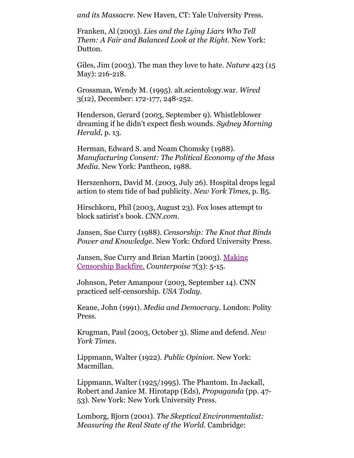*and its Massacre.* New Haven, CT: Yale University Press.

Franken, Al (2003). *Lies and the Lying Liars Who Tell Them: A Fair and Balanced Look at the Right.* New York: Dutton.

Giles, Jim (2003). The man they love to hate. *Nature* 423 (15 May): 216-218.

Grossman, Wendy M. (1995). alt.scientology.war. *Wired* 3(12), December: 172-177, 248-252.

Henderson, Gerard (2003, September 9). Whistleblower dreaming if he didn't expect flesh wounds. *Sydney Morning Herald,* p. 13.

Herman, Edward S. and Noam Chomsky (1988). *Manufacturing Consent: The Political Economy of the Mass Media*. New York: Pantheon, 1988.

Herszenhorn, David M. (2003, July 26). Hospital drops legal action to stem tide of bad publicity. *New York Times,* p. B5.

Hirschkorn, Phil (2003, August 23). Fox loses attempt to block satirist's book. *CNN.com.*

Jansen, Sue Curry (1988). *Censorship: The Knot that Binds Power and Knowledge*. New York: Oxford University Press.

[Jansen, Sue Curry and Brian Martin \(2003\). Making](http://www.uow.edu.au/~bmartin/pubs/03counterpoise.html) Censorship Backfire. *Counterpoise* 7(3): 5-15.

Johnson, Peter Amanpour (2003, September 14). CNN practiced self-censorship. *USA Today.*

Keane, John (1991). *Media and Democracy.* London: Polity Press.

Krugman, Paul (2003, October 3). Slime and defend. *New York Times.*

Lippmann, Walter (1922). *Public Opinion*. New York: Macmillan.

Lippmann, Walter (1925/1995). The Phantom. In Jackall, Robert and Janice M. Hirotapp (Eds), *Propaganda* (pp. 47- 53). New York: New York University Press.

Lomborg, Bjorn (2001). *The Skeptical Environmentalist: Measuring the Real State of the World.* Cambridge: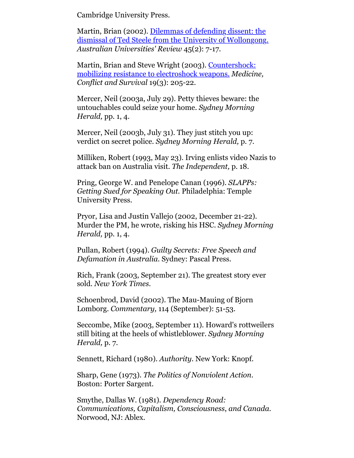Cambridge University Press.

Martin, Brian (2002). Dilemmas of defending dissent: the [dismissal of Ted Steele from the University of Wollongong.](http://www.uow.edu.au/~bmartin/pubs/02aur.html) *Australian Universities' Review* 45(2): 7-17.

[Martin, Brian and Steve Wright \(2003\). Countershock:](http://www.uow.edu.au/~bmartin/pubs/03mcs.html) mobilizing resistance to electroshock weapons. *Medicine, Conflict and Survival* 19(3): 205-22.

Mercer, Neil (2003a, July 29). Petty thieves beware: the untouchables could seize your home. *Sydney Morning Herald,* pp. 1, 4.

Mercer, Neil (2003b, July 31). They just stitch you up: verdict on secret police. *Sydney Morning Herald,* p. 7.

Milliken, Robert (1993, May 23). Irving enlists video Nazis to attack ban on Australia visit. *The Independent,* p. 18.

Pring, George W. and Penelope Canan (1996). *SLAPPs: Getting Sued for Speaking Out.* Philadelphia: Temple University Press.

Pryor, Lisa and Justin Vallejo (2002, December 21-22). Murder the PM, he wrote, risking his HSC. *Sydney Morning Herald,* pp. 1, 4.

Pullan, Robert (1994). *Guilty Secrets: Free Speech and Defamation in Australia.* Sydney: Pascal Press.

Rich, Frank (2003, September 21). The greatest story ever sold. *New York Times.*

Schoenbrod, David (2002). The Mau-Mauing of Bjorn Lomborg. *Commentary,* 114 (September): 51-53.

Seccombe, Mike (2003, September 11). Howard's rottweilers still biting at the heels of whistleblower. *Sydney Morning Herald,* p. 7.

Sennett, Richard (1980). *Authority*. New York: Knopf.

Sharp, Gene (1973). *The Politics of Nonviolent Action.* Boston: Porter Sargent.

Smythe, Dallas W. (1981). *Dependency Road: Communications, Capitalism, Consciousness*, *and Canada.* Norwood, NJ: Ablex.